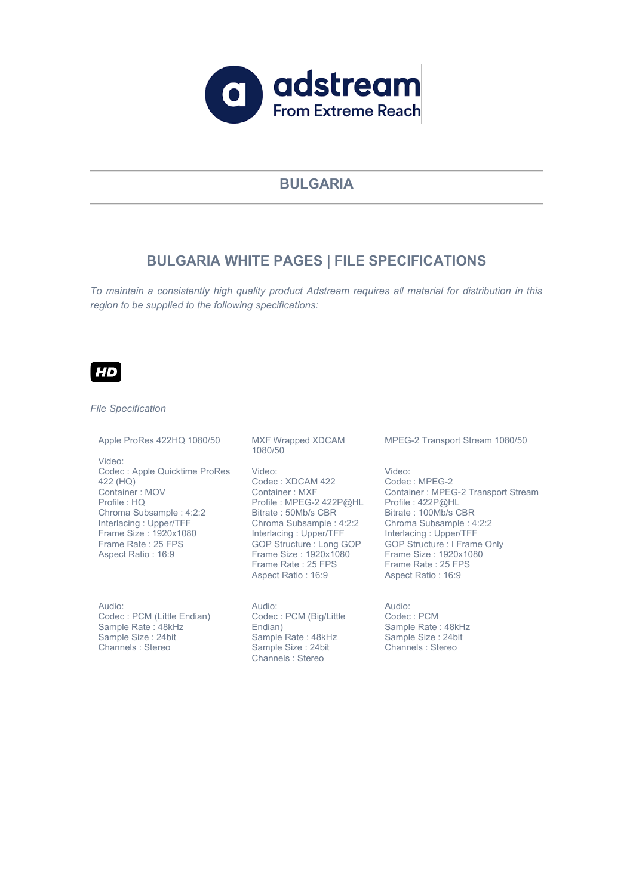

# **BULGARIA**

# **BULGARIA WHITE PAGES | FILE SPECIFICATIONS**

*To maintain a consistently high quality product Adstream requires all material for distribution in this region to be supplied to the following specifications:*



#### *File Specification*

#### Apple ProRes 422HQ 1080/50

Video: Codec : Apple Quicktime ProRes 422 (HQ) Container : MOV Profile : HQ Chroma Subsample : 4:2:2 Interlacing : Upper/TFF Frame Size : 1920x1080 Frame Rate : 25 FPS Aspect Ratio : 16:9

Audio: Codec : PCM (Little Endian) Sample Rate : 48kHz Sample Size : 24bit Channels : Stereo

MXF Wrapped XDCAM 1080/50

Video: Codec : XDCAM 422 Container : MXF Profile : MPEG-2 422P@HL Profile : 422P@HL Bitrate : 50Mb/s CBR Chroma Subsample : 4:2:2 Interlacing : Upper/TFF GOP Structure : Long GOP Frame Size : 1920x1080 Frame Rate: 25 FPS Aspect Ratio : 16:9

Audio: Codec : PCM (Big/Little Endian) Sample Rate : 48kHz Sample Size : 24bit Channels : Stereo

MPEG-2 Transport Stream 1080/50

Video: Codec : MPEG-2 Container : MPEG-2 Transport Stream Bitrate : 100Mb/s CBR Chroma Subsample : 4:2:2 Interlacing : Upper/TFF GOP Structure : I Frame Only Frame Size : 1920x1080 Frame Rate : 25 FPS Aspect Ratio : 16:9

Audio: Codec : PCM Sample Rate : 48kHz Sample Size : 24bit Channels : Stereo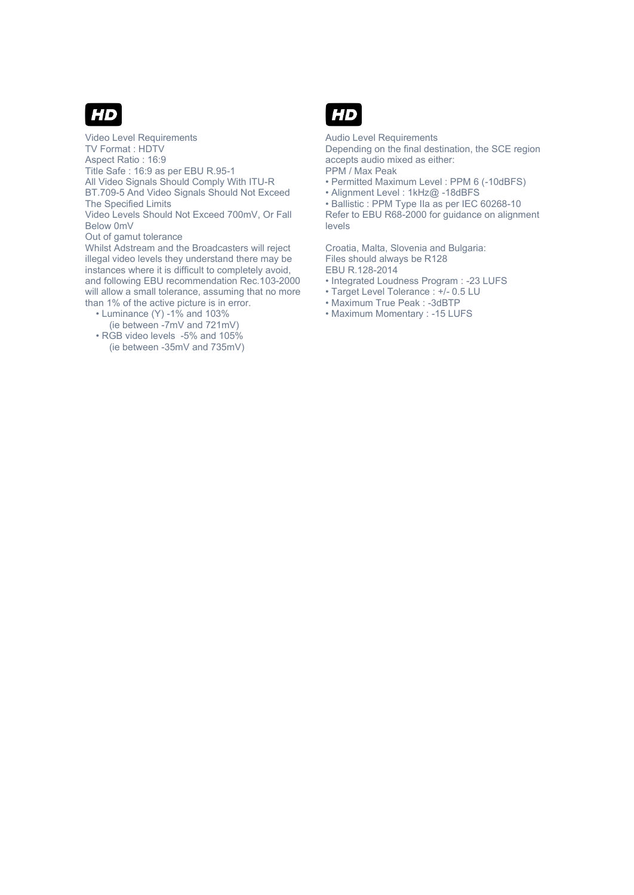

Video Level Requirements TV Format : HDTV Aspect Ratio : 16:9 Title Safe : 16:9 as per EBU R.95-1 All Video Signals Should Comply With ITU-R BT.709-5 And Video Signals Should Not Exceed The Specified Limits Video Levels Should Not Exceed 700mV, Or Fall Below 0mV Out of gamut tolerance Whilst Adstream and the Broadcasters will reject illegal video levels they understand there may be

instances where it is difficult to completely avoid, and following EBU recommendation Rec.103-2000 will allow a small tolerance, assuming that no more than 1% of the active picture is in error.

- $\cdot$  Luminance (Y) -1% and 103%
	- (ie between -7mV and 721mV)
- RGB video levels -5% and 105% (ie between -35mV and 735mV)



Audio Level Requirements

Depending on the final destination, the SCE region accepts audio mixed as either: PPM / Max Peak

- Permitted Maximum Level : PPM 6 (-10dBFS)
- Alignment Level: 1kHz@ -18dBFS
- Ballistic : PPM Type IIa as per IEC 60268-10

Refer to EBU R68-2000 for guidance on alignment levels

Croatia, Malta, Slovenia and Bulgaria: Files should always be R128 EBU R.128-2014

- Integrated Loudness Program : -23 LUFS
- Target Level Tolerance : +/- 0.5 LU
- Maximum True Peak : -3dBTP
- Maximum Momentary : -15 LUFS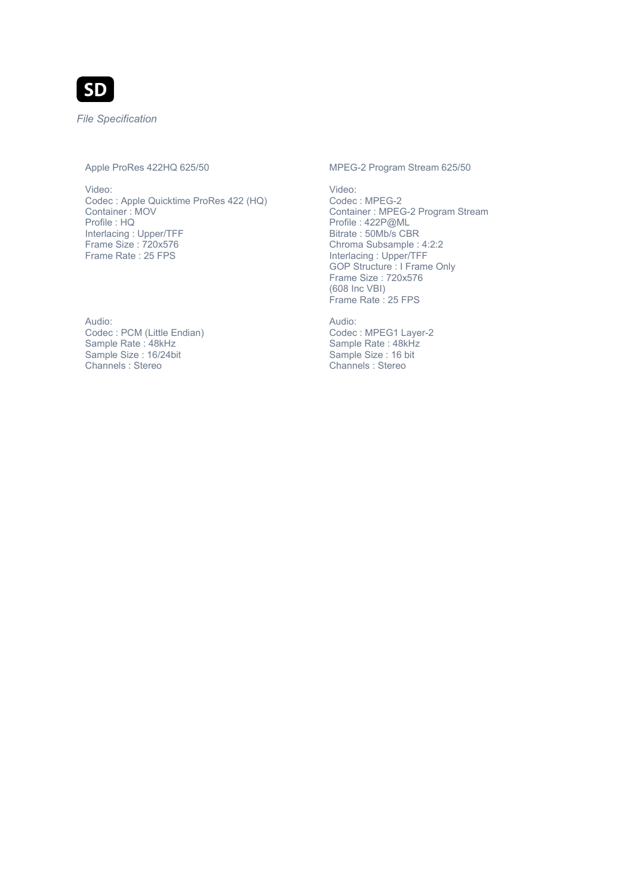

*File Specification*

## Apple ProRes 422HQ 625/50

Video: Codec : Apple Quicktime ProRes 422 (HQ) Container : MOV Profile : HQ Interlacing : Upper/TFF Frame Size : 720x576 Frame Rate : 25 FPS

Audio:

Codec : PCM (Little Endian) Sample Rate : 48kHz Sample Size : 16/24bit Channels : Stereo

### MPEG-2 Program Stream 625/50

Video: Codec : MPEG-2 Container : MPEG-2 Program Stream Profile : 422P@ML Bitrate : 50Mb/s CBR Chroma Subsample : 4:2:2 Interlacing : Upper/TFF GOP Structure : I Frame Only Frame Size : 720x576 (608 Inc VBI) Frame Rate: 25 FPS

Audio:

Codec : MPEG1 Layer-2 Sample Rate : 48kHz Sample Size : 16 bit Channels : Stereo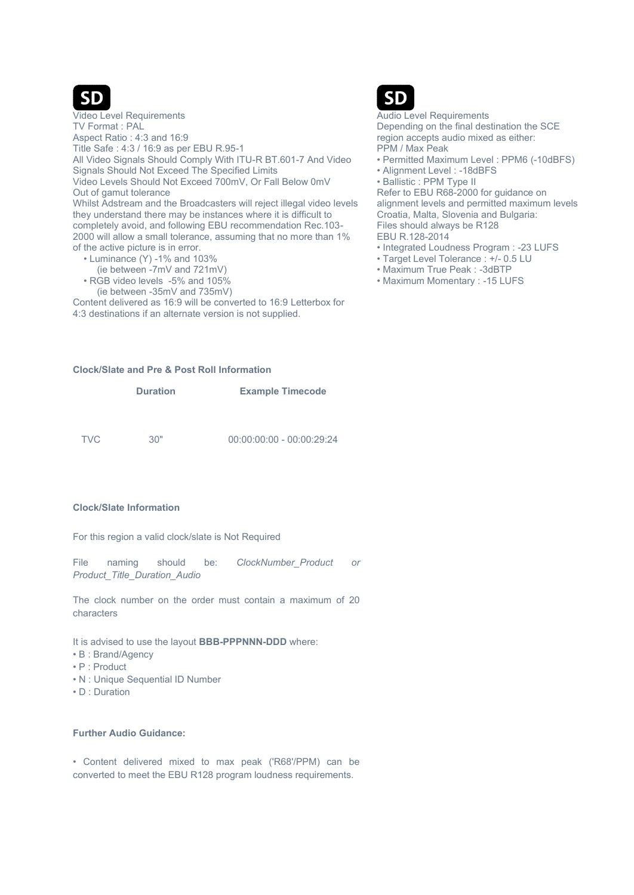

Video Level Requirements TV Format : PAL

Aspect Ratio : 4:3 and 16:9 Title Safe : 4:3 / 16:9 as per EBU R.95-1 All Video Signals Should Comply With ITU-R BT.601-7 And Video Signals Should Not Exceed The Specified Limits Video Levels Should Not Exceed 700mV, Or Fall Below 0mV Out of gamut tolerance Whilst Adstream and the Broadcasters will reject illegal video levels they understand there may be instances where it is difficult to completely avoid, and following EBU recommendation Rec.103- 2000 will allow a small tolerance, assuming that no more than 1%

of the active picture is in error.

- $\cdot$  Luminance (Y) -1% and 103%
- (ie between -7mV and 721mV) • RGB video levels -5% and 105%
	- (ie between -35mV and 735mV)

Content delivered as 16:9 will be converted to 16:9 Letterbox for 4:3 destinations if an alternate version is not supplied.

## **Clock/Slate and Pre & Post Roll Information**

|            | <b>Duration</b> | <b>Example Timecode</b>     |
|------------|-----------------|-----------------------------|
|            |                 |                             |
| <b>TVC</b> | "∩?             | $00:00:00:00 - 00:00:29:24$ |

### **Clock/Slate Information**

For this region a valid clock/slate is Not Required

File naming should be: *ClockNumber\_Product or Product\_Title\_Duration\_Audio*

The clock number on the order must contain a maximum of 20 characters

It is advised to use the layout **BBB-PPPNNN-DDD** where:

- $\cdot$  B : Brand/Agency
- $\cdot$  P : Product
- N : Unique Sequential ID Number
- $\cdot$  D : Duration

### **Further Audio Guidance:**

• Content delivered mixed to max peak ('R68'/PPM) can be converted to meet the EBU R128 program loudness requirements.



Audio Level Requirements Depending on the final destination the SCE region accepts audio mixed as either: PPM / Max Peak

- Permitted Maximum Level : PPM6 (-10dBFS)
- Alignment Level : -18dBFS
- Ballistic : PPM Type II

Refer to EBU R68-2000 for guidance on alignment levels and permitted maximum levels Croatia, Malta, Slovenia and Bulgaria: Files should always be R128

- EBU R.128-2014
- Integrated Loudness Program : -23 LUFS
- Target Level Tolerance : +/- 0.5 LU
- Maximum True Peak : -3dBTP
- Maximum Momentary : -15 LUFS